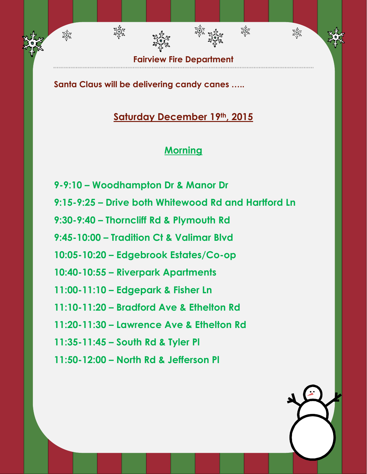

雞

淼

**Santa Claus will be delivering candy canes …..**

淡紫

淡紫

## **Saturday December 19th, 2015**

## **Morning**

- **9-9:10 – Woodhampton Dr & Manor Dr**
- **9:15-9:25 – Drive both Whitewood Rd and Hartford Ln**
- **9:30-9:40 – Thorncliff Rd & Plymouth Rd**
- **9:45-10:00 – Tradition Ct & Valimar Blvd**
- **10:05-10:20 – Edgebrook Estates/Co-op**
- **10:40-10:55 – Riverpark Apartments**
- **11:00-11:10 – Edgepark & Fisher Ln**
- **11:10-11:20 – Bradford Ave & Ethelton Rd**
- **11:20-11:30 – Lawrence Ave & Ethelton Rd**
- **11:35-11:45 – South Rd & Tyler Pl**
- **11:50-12:00 – North Rd & Jefferson Pl**

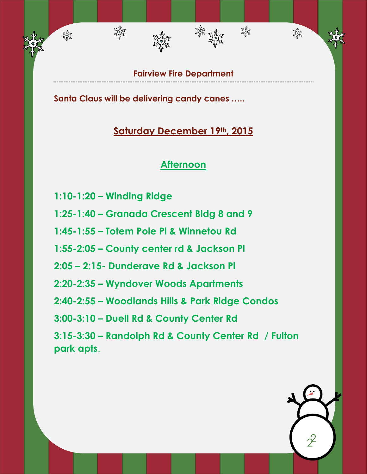**Fairview Fire Department**

绿森

滋养

翠绿

**Santa Claus will be delivering candy canes …..**

#### **Saturday December 19th, 2015**

#### **Afternoon**

**1:10-1:20 – Winding Ridge** 

淡淡

翠绿

- **1:25-1:40 – Granada Crescent Bldg 8 and 9**
- **1:45-1:55 – Totem Pole Pl & Winnetou Rd**
- **1:55-2:05 – County center rd & Jackson Pl**
- **2:05 – 2:15- Dunderave Rd & Jackson Pl**
- **2:20-2:35 – Wyndover Woods Apartments**
- **2:40-2:55 – Woodlands Hills & Park Ridge Condos**
- **3:00-3:10 – Duell Rd & County Center Rd**
- **3:15-3:30 – Randolph Rd & County Center Rd / Fulton park apts**.

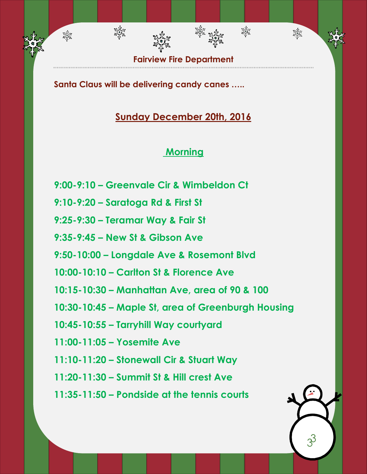**Fairview Fire Department**

鞣

淼

**Santa Claus will be delivering candy canes …..**

भूमैक<br>संगुरि

翠绿

## **Sunday December 20th, 2016**

## **Morning**

- **9:00-9:10 – Greenvale Cir & Wimbeldon Ct**
- **9:10-9:20 – Saratoga Rd & First St**
- **9:25-9:30 – Teramar Way & Fair St**
- **9:35-9:45 – New St & Gibson Ave**
- **9:50-10:00 – Longdale Ave & Rosemont Blvd**
- **10:00-10:10 – Carlton St & Florence Ave**
- **10:15-10:30 – Manhattan Ave, area of 90 & 100**
- **10:30-10:45 – Maple St, area of Greenburgh Housing**
- **10:45-10:55 – Tarryhill Way courtyard**
- **11:00-11:05 – Yosemite Ave**
- **11:10-11:20 – Stonewall Cir & Stuart Way**
- **11:20-11:30 – Summit St & Hill crest Ave**
- **11:35-11:50 – Pondside at the tennis courts**